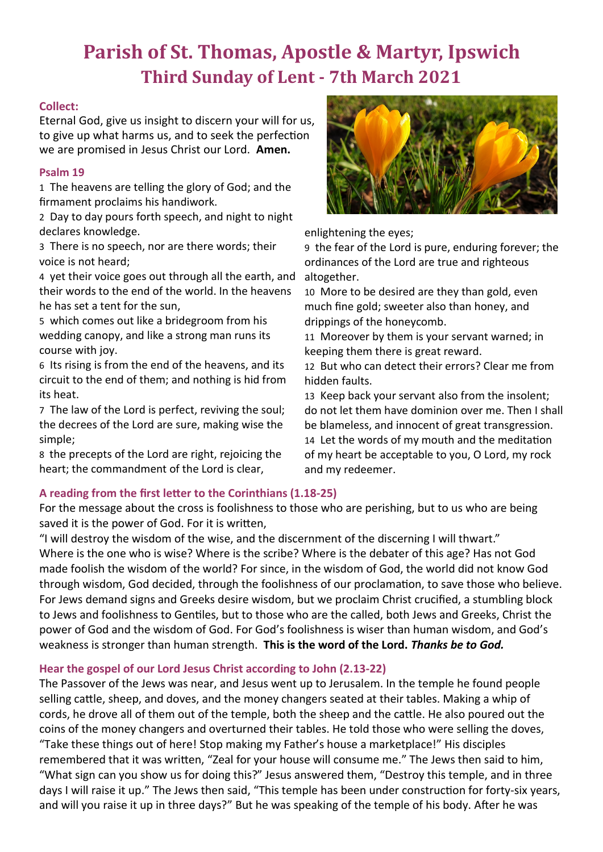# **Parish of St. Thomas, Apostle & Martyr, Ipswich Third Sunday of Lent - 7th March 2021**

## **Collect:**

Eternal God, give us insight to discern your will for us, to give up what harms us, and to seek the perfection we are promised in Jesus Christ our Lord. **Amen.**

## **Psalm 19**

1 The heavens are telling the glory of God; and the firmament proclaims his handiwork.

2 Day to day pours forth speech, and night to night declares knowledge.

3 There is no speech, nor are there words; their voice is not heard;

4 yet their voice goes out through all the earth, and their words to the end of the world. In the heavens he has set a tent for the sun,

5 which comes out like a bridegroom from his wedding canopy, and like a strong man runs its course with joy.

6 Its rising is from the end of the heavens, and its circuit to the end of them; and nothing is hid from its heat.

7 The law of the Lord is perfect, reviving the soul; the decrees of the Lord are sure, making wise the simple;

8 the precepts of the Lord are right, rejoicing the heart; the commandment of the Lord is clear,



For the message about the cross is foolishness to those who are perishing, but to us who are being saved it is the power of God. For it is written,

"I will destroy the wisdom of the wise, and the discernment of the discerning I will thwart." Where is the one who is wise? Where is the scribe? Where is the debater of this age? Has not God made foolish the wisdom of the world? For since, in the wisdom of God, the world did not know God through wisdom, God decided, through the foolishness of our proclamation, to save those who believe. For Jews demand signs and Greeks desire wisdom, but we proclaim Christ crucified, a stumbling block to Jews and foolishness to Gentiles, but to those who are the called, both Jews and Greeks, Christ the power of God and the wisdom of God. For God's foolishness is wiser than human wisdom, and God's weakness is stronger than human strength. **This is the word of the Lord.** *Thanks be to God.*

# **Hear the gospel of our Lord Jesus Christ according to John (2.13-22)**

The Passover of the Jews was near, and Jesus went up to Jerusalem. In the temple he found people selling cattle, sheep, and doves, and the money changers seated at their tables. Making a whip of cords, he drove all of them out of the temple, both the sheep and the cattle. He also poured out the coins of the money changers and overturned their tables. He told those who were selling the doves, "Take these things out of here! Stop making my Father's house a marketplace!" His disciples remembered that it was written, "Zeal for your house will consume me." The Jews then said to him, "What sign can you show us for doing this?" Jesus answered them, "Destroy this temple, and in three days I will raise it up." The Jews then said, "This temple has been under construction for forty-six years, and will you raise it up in three days?" But he was speaking of the temple of his body. After he was



enlightening the eyes;

9 the fear of the Lord is pure, enduring forever; the ordinances of the Lord are true and righteous altogether.

10 More to be desired are they than gold, even much fine gold; sweeter also than honey, and drippings of the honeycomb.

11 Moreover by them is your servant warned; in keeping them there is great reward.

12 But who can detect their errors? Clear me from hidden faults.

13 Keep back your servant also from the insolent; do not let them have dominion over me. Then I shall be blameless, and innocent of great transgression. 14 Let the words of my mouth and the meditation of my heart be acceptable to you, O Lord, my rock and my redeemer.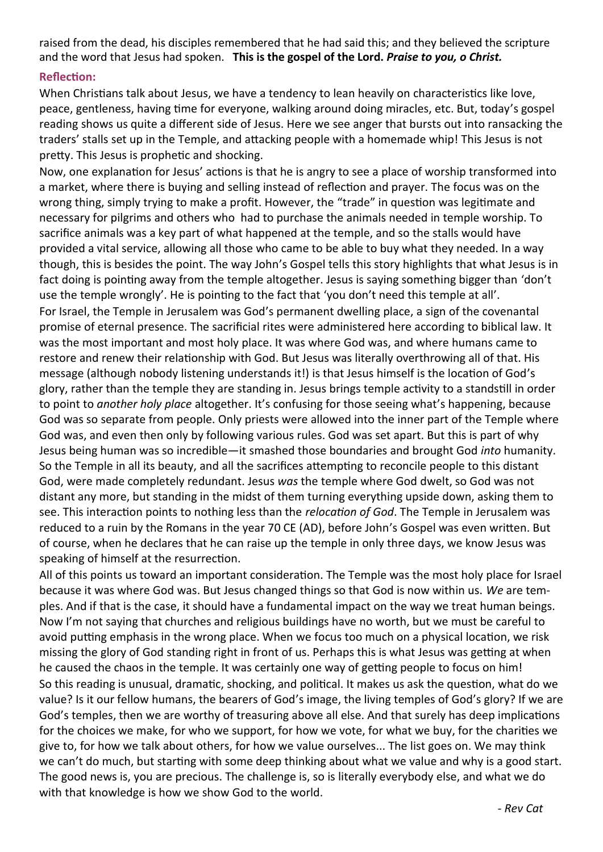raised from the dead, his disciples remembered that he had said this; and they believed the scripture and the word that Jesus had spoken. **This is the gospel of the Lord.** *Praise to you, o Christ.*

## **Reflection:**

When Christians talk about Jesus, we have a tendency to lean heavily on characteristics like love, peace, gentleness, having time for everyone, walking around doing miracles, etc. But, today's gospel reading shows us quite a different side of Jesus. Here we see anger that bursts out into ransacking the traders' stalls set up in the Temple, and attacking people with a homemade whip! This Jesus is not pretty. This Jesus is prophetic and shocking.

Now, one explanation for Jesus' actions is that he is angry to see a place of worship transformed into a market, where there is buying and selling instead of reflection and prayer. The focus was on the wrong thing, simply trying to make a profit. However, the "trade" in question was legitimate and necessary for pilgrims and others who had to purchase the animals needed in temple worship. To sacrifice animals was a key part of what happened at the temple, and so the stalls would have provided a vital service, allowing all those who came to be able to buy what they needed. In a way though, this is besides the point. The way John's Gospel tells this story highlights that what Jesus is in fact doing is pointing away from the temple altogether. Jesus is saying something bigger than 'don't use the temple wrongly'. He is pointing to the fact that 'you don't need this temple at all'. For Israel, the Temple in Jerusalem was God's permanent dwelling place, a sign of the covenantal promise of eternal presence. The sacrificial rites were administered here according to biblical law. It was the most important and most holy place. It was where God was, and where humans came to restore and renew their relationship with God. But Jesus was literally overthrowing all of that. His message (although nobody listening understands it!) is that Jesus himself is the location of God's glory, rather than the temple they are standing in. Jesus brings temple activity to a standstill in order to point to *another holy place* altogether. It's confusing for those seeing what's happening, because God was so separate from people. Only priests were allowed into the inner part of the Temple where God was, and even then only by following various rules. God was set apart. But this is part of why Jesus being human was so incredible—it smashed those boundaries and brought God *into* humanity. So the Temple in all its beauty, and all the sacrifices attempting to reconcile people to this distant God, were made completely redundant. Jesus *was* the temple where God dwelt, so God was not distant any more, but standing in the midst of them turning everything upside down, asking them to see. This interaction points to nothing less than the *relocation of God*. The Temple in Jerusalem was reduced to a ruin by the Romans in the year 70 CE (AD), before John's Gospel was even written. But of course, when he declares that he can raise up the temple in only three days, we know Jesus was speaking of himself at the resurrection.

All of this points us toward an important consideration. The Temple was the most holy place for Israel because it was where God was. But Jesus changed things so that God is now within us. *We* are temples. And if that is the case, it should have a fundamental impact on the way we treat human beings. Now I'm not saying that churches and religious buildings have no worth, but we must be careful to avoid putting emphasis in the wrong place. When we focus too much on a physical location, we risk missing the glory of God standing right in front of us. Perhaps this is what Jesus was getting at when he caused the chaos in the temple. It was certainly one way of getting people to focus on him! So this reading is unusual, dramatic, shocking, and political. It makes us ask the question, what do we value? Is it our fellow humans, the bearers of God's image, the living temples of God's glory? If we are God's temples, then we are worthy of treasuring above all else. And that surely has deep implications for the choices we make, for who we support, for how we vote, for what we buy, for the charities we give to, for how we talk about others, for how we value ourselves... The list goes on. We may think we can't do much, but starting with some deep thinking about what we value and why is a good start. The good news is, you are precious. The challenge is, so is literally everybody else, and what we do with that knowledge is how we show God to the world.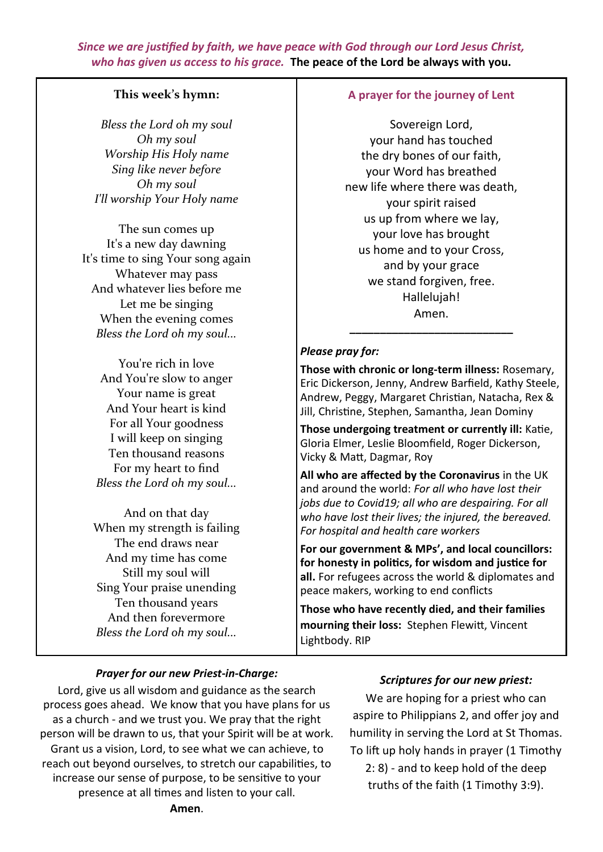*Since we are justified by faith, we have peace with God through our Lord Jesus Christ, who has given us access to his grace.* **The peace of the Lord be always with you.**

## **This week's hymn:**

*Bless the Lord oh my soul Oh my soul Worship His Holy name Sing like never before Oh my soul I'll worship Your Holy name*

The sun comes up It's a new day dawning It's time to sing Your song again Whatever may pass And whatever lies before me Let me be singing When the evening comes *Bless the Lord oh my soul...*

You're rich in love And You're slow to anger Your name is great And Your heart is kind For all Your goodness I will keep on singing Ten thousand reasons For my heart to find *Bless the Lord oh my soul...*

And on that day When my strength is failing The end draws near And my time has come Still my soul will Sing Your praise unending Ten thousand years And then forevermore *Bless the Lord oh my soul...*

#### **A prayer for the journey of Lent**

Sovereign Lord, your hand has touched the dry bones of our faith, your Word has breathed new life where there was death, your spirit raised us up from where we lay, your love has brought us home and to your Cross, and by your grace we stand forgiven, free. Hallelujah! Amen.

#### *Please pray for:*

**Those with chronic or long-term illness:** Rosemary, Eric Dickerson, Jenny, Andrew Barfield, Kathy Steele, Andrew, Peggy, Margaret Christian, Natacha, Rex & Jill, Christine, Stephen, Samantha, Jean Dominy

**\_\_\_\_\_\_\_\_\_\_\_\_\_\_\_\_\_\_\_\_\_\_\_\_\_\_\_**

**Those undergoing treatment or currently ill:** Katie, Gloria Elmer, Leslie Bloomfield, Roger Dickerson, Vicky & Matt, Dagmar, Roy

**All who are affected by the Coronavirus** in the UK and around the world: *For all who have lost their jobs due to Covid19; all who are despairing. For all who have lost their lives; the injured, the bereaved. For hospital and health care workers*

**For our government & MPs', and local councillors: for honesty in politics, for wisdom and justice for all.** For refugees across the world & diplomates and peace makers, working to end conflicts

**Those who have recently died, and their families mourning their loss:** Stephen Flewitt, Vincent Lightbody. RIP

#### *Prayer for our new Priest-in-Charge:*

Lord, give us all wisdom and guidance as the search process goes ahead. We know that you have plans for us as a church - and we trust you. We pray that the right person will be drawn to us, that your Spirit will be at work. Grant us a vision, Lord, to see what we can achieve, to reach out beyond ourselves, to stretch our capabilities, to increase our sense of purpose, to be sensitive to your presence at all times and listen to your call.

#### *Scriptures for our new priest:*

We are hoping for a priest who can aspire to Philippians 2, and offer joy and humility in serving the Lord at St Thomas. To lift up holy hands in prayer (1 Timothy 2: 8) - and to keep hold of the deep

truths of the faith (1 Timothy 3:9).